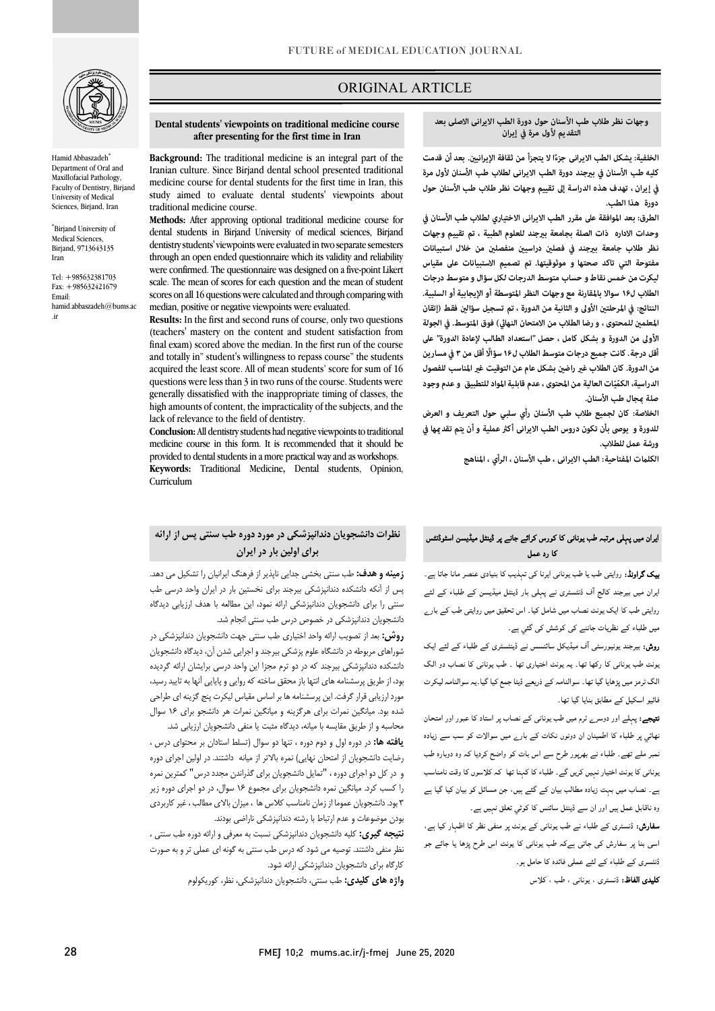

Hamid Abbaszadeh<sup>\*</sup> Department of Oral and Maxillofacial Pathology, Faculty of Dentistry, Birjand University of Medical Sciences, Birjand, Iran

\* Birjand University of Medical Sciences, Birjand, 9713643135 Iran

Tel: +985632381703 Fax: +985632421679 Email: hamid.abbaszadeh@bums.ac .ir

## ORIGINAL ARTICLE

# **التقديم لأول مرة في إيران وجهات نظر طلاب طب الأسنان حول دورة الطب الایرانی الاصلی بعد**

الخلفية: يشكل الطب الايرانى جزءًا لا يتجزأ من ثقافة الإيرانيين. بعد أن قدمت **کلیه طب الأسنان في بجند دورة الطب الایرانی لطلاب طب الأسنان لأول مرة في إيران ، تهدف هذه الدراسة إلى تقييم وجهات نظر طلاب طب الأسنان حول دورة هذا الطب.**

ص

 **الطرق: بعد الموافقة على مقرر الطب الایرانی الاختياري لطلاب طب الأسنان في وحدات الاداره ذات الصلة بجامعة بجند للعلوم الطبية ، تم تقييم وجهات**  نظر طلاب جامعة بيرجند في فصلين دراسيين منفصلين من خلال استبيانات **مفتوحة التي تاکد صحتها و موثوقيتها. تم تصميم الاستبيانات على مقياس ليكرت من خمس نقاط و حساب متوسط الدرجات لكل سؤال و متوسط درجات النتائج: في المرحلت الأولى و الثانية من الدورة ، تم تسجيل سؤال فقط (إتقان المعلم للمحتوى ، و رضا الطلاب من الامتحان النها) فوق المتوسط. في الجولة الأولى من الدورة و بشكل كامل ، حصل "استعداد الطالب لإعادة الدورة" على أقل درجة. كانت جميع درجات متوسط الطلاب ل۱۶ سؤالاً أقل من ۳ في مسارين**  من الدورة. كان الطلاب غير راضين بشكل عام عن التوقيت غير المناسب للفصول الدراسية، الكمّيّات العالية من المحتوى ، عدم قابلية المواد للتطبيق و عدم وجود **الطلاب ل۱۶ سوالا بالمقارنة مع وجهات النظر المتوسطة أو الإيجابية أو السلبية. صلة جال طب الأسنان.**

 **الخلاصة: كان لجميع طلاب طب الأسنان رأي سلبي حول التعریف و العرض للدورة و يوصى بأن تكون دروس الطب الایرانی أك عملية و أن يتم تقدها في ورشة عمل للطلاب.**

یران میں پہل*ی* مرتبہ طب یونانی کا کورس کرائے جانے پر ڈینٹل میڈیسن اسٹوڈنٹس<br>۔

کا رد عمل

**یک گراونڈ:** روایتی طب یا طب یونانی ایرنا کی تہذیب کا بنیادی عنصر مانا جاتا ہے۔ ایران میں بیرجند کالج آف ڈنٹسٹری نے پہلی بار ڈینٹل میڈیسن کے طلباء کے لئے روایتی طب کا ایک یونٹ نصاب میں شامل کیا۔ اس تحقیق میں روایتی طب کے بارے

**روش:** بیرجند یونیورسٹی آف میڈیکل سائنسس نے ڈینٹسٹری کے طلباء کے لئے ایک بونٹ طب یونانی کا رکھا تھا۔ یہ یونٹ اختیاری تھا ۔ طب یونانی کا نصاب دو الگ الگ ٹرمز میں پڑھایا گیا تھا۔ سوالنامہ کے ذریعے ڈیٹا جمع کیا گیا۔یہ سوالنامہ لیکرٹ

ن**تیجے:** پہلے اور دوسر<sub>ے</sub> ٹرم میں طب یونانی کے نصاب پر استاد کا عبور اور امتحان ُنھائی پر طلباء کا اطمینان ان دونوں نکات کے بار<sub>ے</sub> میں سوالات کو سب سے زیادہ ۔<br>نمبر ملے تھے۔ طلباء نے بھرپور طرح سے اس بات کو واضح کردیا کہ وہ دوبارہ طب بونانی کا یونٹ اختیار نہیں کریں گے۔ طلباء کا کہنا تھا کہ کلاسوں کا وقت نامناسب ے۔ نصاب میں بہت زیادہ مطالب بیان کے گئے ہیں، جن مسائل کو بیان کیا گیا ہے

**سفارش:** ڈنسٹری کے طلباء نے طب یونانی کے یونٹ پر منفی نظر کا اظہار کیا ہے، ۔<br>اسی بنا پر سفارش کی جاتی ہےکہ طب یونانی کا یونٹ اس طرح پڑھا یا جائے جو

وہ ناقابل عمل ہیں اور ان سے ڈینٹل سائنس کا کوئي ت**ع**لق نہیں ہے۔

۔<br>ڈنٹسری کے طلباء کے لئے عملی فائدہ کا حامل ہو۔ **کلیدی الفاظ:** ڈنسٹری ، یونان<sub>ی</sub> ، طب ، کلاس

میں طلباء کے نظریات جاننے کی کوشش کی گئي ہے۔

فائیو اسکیل کے مطابق بنایا گیا تھا۔

**الكلت المفتاحية: الطب الایرانی ، طب الأسنان ، الرأي ، المناهج**

# **Dental students' viewpoints on traditional medicine course after presenting for the first time in Iran**

Ī

Background: The traditional inequence is an integral part of the<br>Iranian culture. Since Birjand dental school presented traditional medicine course for dental students for the first time in Iran, this study aimed to evaluate dental students' viewpoints about **Background:** The traditional medicine is an integral part of the traditional medicine course.

 **Methods:** After approving optional traditional medicine course for dental students in Birjand University of medical sciences, Birjand dentistry students' viewpoints were evaluated in two separate semesters were confirmed. The questionnaire was designed on a five-point Likert scale. The mean of scores for each question and the mean of student median, positive or negative viewpoints were evaluated. through an open ended questionnaire which its validity and reliability scores on all 16 questions were calculated and through comparing with

 **Results:** In the first and second runs of course, only two questions (teachers' mastery on the content and student satisfaction from and totally in" student's willingness to repass course" the students acquired the least score. All of mean students' score for sum of 16 generally dissatisfied with the inappropriate timing of classes, the high amounts of content, the impracticality of the subjects, and the final exam) scored above the median. In the first run of the course questions were less than 3 in two runs of the course. Students were lack of relevance to the field of dentistry.

lack of relevance to the field of dentistry.<br>**Conclusion:** All dentistry students had negative viewpoints to traditional medicine course in this form. It is recommended that it should be provided to dental students in a more practical way and as workshops. **Keywords:** Traditional Medicine**,** Dental students, Opinion, Curriculum

# **نظرات دانشجویان دندانپزشکی در مورد دوره طب سنتی پس از ارائه براي اولین بار در ایران**

 **زمینه و هدف:** طب سنتی بخشی جدایی ناپذیر از فرهنگ ایرانیان را تشکیل می دهد. پس از آنکه دانشکده دندانپزشکی بیرجند براي نخستین بار در ایران واحد درسی طب دانشجویان دندانپزشکی در خصوص درس طب سنتی انجام شد. سنتی را براي دانشجویان دندانپزشکی ارائه نمود، این مطالعه با هدف ارزیابی دیدگاه

 **روش:** بعد از تصویب ارائه واحد اختیاري طب سنتی جهت دانشجویان دندانپزشکی در شوراهاي مربوطه در دانشگاه علوم پزشکی بیرجند و اجرایی شدن آن، دیدگاه دانشجویان دانشکده دندانپزشکی بیرجند که در دو ترم مجزا این واحد درسی برایشان ارائه گردیده بود، از طریق پرسشنامه هاي انتها باز محقق ساخته که روایی و پایایی آنها به تایید رسید، مورد ارزیابی قرار گرفت. این پرسشنامه ها بر اساس مقیاس لیکرت پنج گزینه اي طراحی شده بود. میانگین نمرات براي هرگزینه و میانگین نمرات هر دانشجو براي 16 سوال محاسبه و از طریق مقایسه با میانه، دیدگاه مثبت یا منفی دانشجویان ارزیابی شد.

 **یافته ها:** در دوره اول و دوم دوره ، تنها دو سوال (تسلط استادان بر محتواي درس ، رضایت دانشجویان از امتحان نهایی) نمره بالاتر از میانه داشتند. در اولین اجراي دوره و در کل دو اجراي دوره ، "تمایل دانشجویان براي گذراندن مجدد درس" کمترین نمره را کسب کرد. میانگین نمره دانشجویان براي مجموع 16 سوال، در دو اجراي دوره زیر 3 بود. دانشجویان عموما از زمان نامناسب کلاس ها ، میزان بالاي مطالب ، غیر کاربردي بودن موضوعات و عدم ارتباط با رشته دندانپزشکی ناراضی بودند.

 **نتیجه گیري:** کلیه دانشجویان دندانپزشکی نسبت به معرفی و ارائه دوره طب سنتی ، نظر منفی داشتند. توصیه می شود که درس طب سنتی به گونه اي عملی تر و به صورت کارگاه براي دانشجویان دندانپزشکی ارائه شود.

**واژه هاي کلیدي:** طب سنتی، دانشجویان دندانپزشکی، نظر، کوریکولوم

FMEJ 10;2 mums.ac.ir/j-fmej June 25, 2020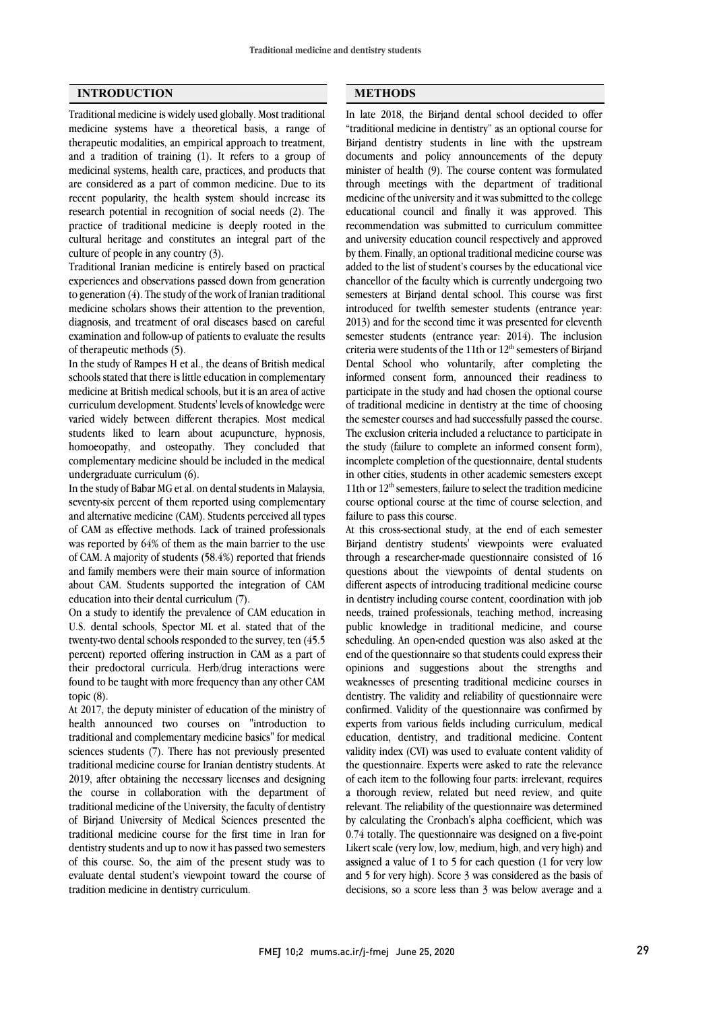#### **INTRODUCTION**

Traditional medicine is widely used globally. Most traditional medicine systems have a theoretical basis, a range of therapeutic modalities, an empirical approach to treatment, and a tradition of training (1). It refers to a group of medicinal systems, health care, practices, and products that are considered as a part of common medicine. Due to its recent popularity, the health system should increase its research potential in recognition of social needs (2). The practice of traditional medicine is deeply rooted in the cultural heritage and constitutes an integral part of the culture of people in any country (3).

Traditional Iranian medicine is entirely based on practical experiences and observations passed down from generation to generation (4). The study of the work of Iranian traditional medicine scholars shows their attention to the prevention, diagnosis, and treatment of oral diseases based on careful examination and follow-up of patients to evaluate the results of therapeutic methods (5).

In the study of Rampes H et al., the deans of British medical schools stated that there is little education in complementary medicine at British medical schools, but it is an area of active curriculum development. Students' levels of knowledge were varied widely between different therapies. Most medical students liked to learn about acupuncture, hypnosis, homoeopathy, and osteopathy. They concluded that complementary medicine should be included in the medical undergraduate curriculum (6).

In the study of Babar MG et al. on dental students in Malaysia, seventy-six percent of them reported using complementary and alternative medicine (CAM). Students perceived all types of CAM as effective methods. Lack of trained professionals was reported by 64% of them as the main barrier to the use of CAM. A majority of students (58.4%) reported that friends and family members were their main source of information about CAM. Students supported the integration of CAM education into their dental curriculum (7).

On a study to identify the prevalence of CAM education in U.S. dental schools, Spector ML et al. stated that of the twenty-two dental schools responded to the survey, ten (45.5 percent) reported offering instruction in CAM as a part of their predoctoral curricula. Herb/drug interactions were found to be taught with more frequency than any other CAM topic (8).

At 2017, the deputy minister of education of the ministry of health announced two courses on "introduction to traditional and complementary medicine basics" for medical sciences students (7). There has not previously presented traditional medicine course for Iranian dentistry students. At 2019, after obtaining the necessary licenses and designing the course in collaboration with the department of traditional medicine of the University, the faculty of dentistry of Birjand University of Medical Sciences presented the traditional medicine course for the first time in Iran for dentistry students and up to now it has passed two semesters of this course. So, the aim of the present study was to evaluate dental student's viewpoint toward the course of tradition medicine in dentistry curriculum.

#### **METHODS**

 In late 2018, the Birjand dental school decided to offer "traditional medicine in dentistry" as an optional course for Birjand dentistry students in line with the upstream minister of health (9). The course content was formulated through meetings with the department of traditional medicine of the university and it was submitted to the college educational council and finally it was approved. This and university education council respectively and approved by them. Finally, an optional traditional medicine course was added to the list of student's courses by the educational vice chancellor of the faculty which is currently undergoing two introduced for twelfth semester students (entrance year: 2013) and for the second time it was presented for eleventh semester students (entrance year: 2014). The inclusion criteria were students of the 11th or  $12<sup>th</sup>$  semesters of Birjand informed consent form, announced their readiness to participate in the study and had chosen the optional course of traditional medicine in dentistry at the time of choosing the semester courses and had successfully passed the course. the study (failure to complete an informed consent form), incomplete completion of the questionnaire, dental students in other cities, students in other academic semesters except 11th or  $12<sup>th</sup>$  semesters, failure to select the tradition medicine failure to pass this course. documents and policy announcements of the deputy recommendation was submitted to curriculum committee semesters at Birjand dental school. This course was first Dental School who voluntarily, after completing the The exclusion criteria included a reluctance to participate in course optional course at the time of course selection, and

 At this cross-sectional study, at the end of each semester Birjand dentistry students' viewpoints were evaluated through a researcher-made questionnaire consisted of 16 different aspects of introducing traditional medicine course in dentistry including course content, coordination with job needs, trained professionals, teaching method, increasing public knowledge in traditional medicine, and course end of the questionnaire so that students could express their opinions and suggestions about the strengths and weaknesses of presenting traditional medicine courses in dentistry. The validity and reliability of questionnaire were experts from various fields including curriculum, medical education, dentistry, and traditional medicine. Content validity index (CVI) was used to evaluate content validity of the questionnaire. Experts were asked to rate the relevance a thorough review, related but need review, and quite relevant. The reliability of the questionnaire was determined by calculating the Cronbach's alpha coefficient, which was 0.74 totally. The questionnaire was designed on a five-point assigned a value of 1 to 5 for each question (1 for very low and 5 for very high). Score 3 was considered as the basis of decisions, so a score less than 3 was below average and a questions about the viewpoints of dental students on scheduling. An open-ended question was also asked at the confirmed. Validity of the questionnaire was confirmed by of each item to the following four parts: irrelevant, requires Likert scale (very low, low, medium, high, and very high) and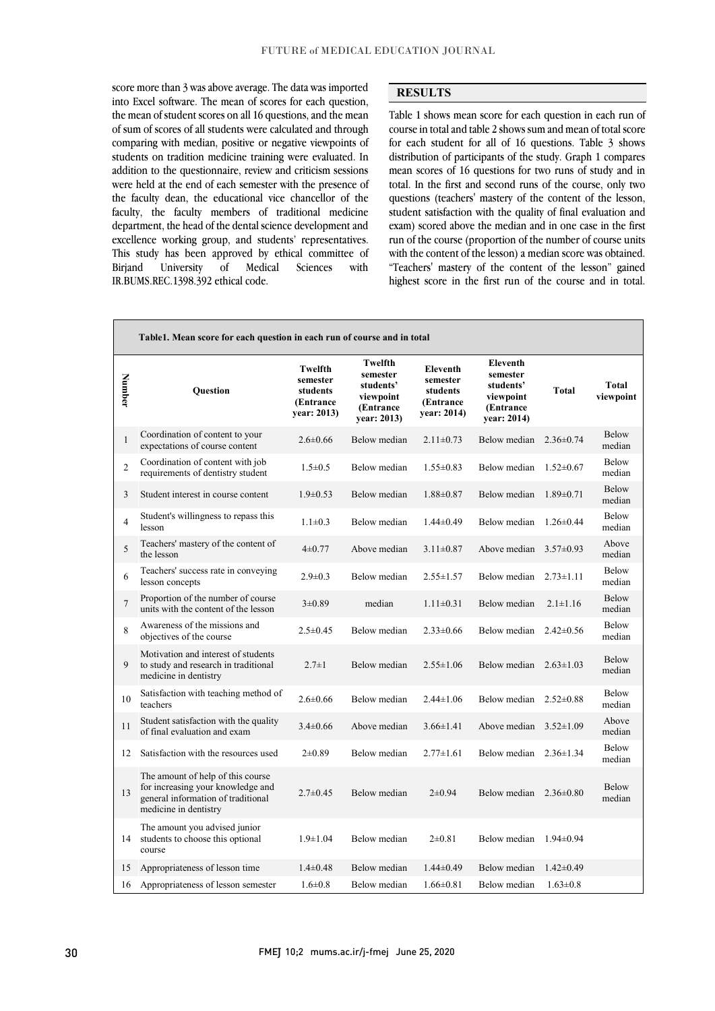score more than *y* was above average. The data was imported<br>into Excel software. The mean of scores for each question, the mean of student scores on all 16 questions, and the mean of sum of scores of all students were calculated and through comparing with median, positive or negative viewpoints of addition to the questionnaire, review and criticism sessions were held at the end of each semester with the presence of the faculty dean, the educational vice chancellor of the faculty, the faculty members of traditional medicine expariment, the nead of the definal selence development and excellence working group, and students' representatives. This study has been approved by ethical committee of Sciences score more than 3 was above average. The data was imported students on tradition medicine training were evaluated. In department, the head of the dental science development and Biriand University of Medical Sciences with IR.BUMS.REC.1398.392 ethical code.

### **RESULTS**

 Table 1 shows mean score for each question in each run of course in total and table 2 shows sum and mean of total score for each student for all of 16 questions. Table 3 shows distribution of participants of the study. Graph 1 compares total. In the first and second runs of the course, only two questions (teachers' mastery of the content of the lesson, student satisfaction with the quality of final evaluation and run of the course (proportion of the number of course units with the content of the lesson) a median score was obtained. "Teachers' mastery of the content of the lesson" gained highest score in the first run of the course and in total. mean scores of 16 questions for two runs of study and in exam) scored above the median and in one case in the first

|                | Table1. Mean score for each question in each run of course and in total                                                               |                                                             |                                                                            |                                                                     |                                                                            |                 |                        |
|----------------|---------------------------------------------------------------------------------------------------------------------------------------|-------------------------------------------------------------|----------------------------------------------------------------------------|---------------------------------------------------------------------|----------------------------------------------------------------------------|-----------------|------------------------|
| Number         | <b>Ouestion</b>                                                                                                                       | Twelfth<br>semester<br>students<br>(Entrance<br>year: 2013) | Twelfth<br>semester<br>students'<br>viewpoint<br>(Entrance)<br>year: 2013) | <b>Eleventh</b><br>semester<br>students<br>(Entrance<br>year: 2014) | Eleventh<br>semester<br>students'<br>viewpoint<br>(Entrance<br>year: 2014) | <b>Total</b>    | Total<br>viewpoint     |
| $\mathbf{1}$   | Coordination of content to your<br>expectations of course content                                                                     | $2.6 \pm 0.66$                                              | Below median                                                               | $2.11 \pm 0.73$                                                     | Below median                                                               | $2.36\pm0.74$   | Below<br>median        |
| $\overline{2}$ | Coordination of content with job<br>requirements of dentistry student                                                                 | $1.5 \pm 0.5$                                               | Below median                                                               | $1.55 \pm 0.83$                                                     | Below median                                                               | $1.52 \pm 0.67$ | Below<br>median        |
| 3              | Student interest in course content                                                                                                    | $1.9 \pm 0.53$                                              | Below median                                                               | $1.88 \pm 0.87$                                                     | Below median                                                               | $1.89 \pm 0.71$ | Below<br>median        |
| $\overline{4}$ | Student's willingness to repass this<br>lesson                                                                                        | $1.1 \pm 0.3$                                               | Below median                                                               | $1.44 \pm 0.49$                                                     | Below median                                                               | $1.26 \pm 0.44$ | Below<br>median        |
| 5              | Teachers' mastery of the content of<br>the lesson                                                                                     | $4\pm 0.77$                                                 | Above median                                                               | $3.11 \pm 0.87$                                                     | Above median                                                               | $3.57 \pm 0.93$ | Above<br>median        |
| 6              | Teachers' success rate in conveying<br>lesson concepts                                                                                | $2.9 \pm 0.3$                                               | Below median                                                               | $2.55 \pm 1.57$                                                     | Below median                                                               | $2.73 \pm 1.11$ | <b>Below</b><br>median |
| $\overline{7}$ | Proportion of the number of course<br>units with the content of the lesson                                                            | $3 \pm 0.89$                                                | median                                                                     | $1.11 \pm 0.31$                                                     | Below median                                                               | $2.1 \pm 1.16$  | Below<br>median        |
| 8              | Awareness of the missions and<br>objectives of the course                                                                             | $2.5 \pm 0.45$                                              | Below median                                                               | $2.33 \pm 0.66$                                                     | Below median                                                               | $2.42 \pm 0.56$ | <b>Below</b><br>median |
| 9              | Motivation and interest of students<br>to study and research in traditional<br>medicine in dentistry                                  | $2.7 \pm 1$                                                 | Below median                                                               | $2.55 \pm 1.06$                                                     | Below median                                                               | $2.63 \pm 1.03$ | Below<br>median        |
| $10\,$         | Satisfaction with teaching method of<br>teachers                                                                                      | $2.6 \pm 0.66$                                              | Below median                                                               | $2.44 \pm 1.06$                                                     | Below median                                                               | $2.52 \pm 0.88$ | Below<br>median        |
| 11             | Student satisfaction with the quality<br>of final evaluation and exam                                                                 | $3.4 \pm 0.66$                                              | Above median                                                               | $3.66 \pm 1.41$                                                     | Above median                                                               | $3.52 \pm 1.09$ | Above<br>median        |
| 12             | Satisfaction with the resources used                                                                                                  | $2\pm 0.89$                                                 | Below median                                                               | $2.77 \pm 1.61$                                                     | Below median                                                               | $2.36 \pm 1.34$ | Below<br>median        |
| 13             | The amount of help of this course<br>for increasing your knowledge and<br>general information of traditional<br>medicine in dentistry | $2.7 \pm 0.45$                                              | Below median                                                               | $2\pm 0.94$                                                         | Below median                                                               | $2.36\pm0.80$   | <b>Below</b><br>median |
| 14             | The amount you advised junior<br>students to choose this optional<br>course                                                           | $1.9 \pm 1.04$                                              | Below median                                                               | $2\pm 0.81$                                                         | Below median                                                               | $1.94 \pm 0.94$ |                        |
| 15             | Appropriateness of lesson time                                                                                                        | $1.4 \pm 0.48$                                              | Below median                                                               | $1.44 \pm 0.49$                                                     | Below median                                                               | $1.42 \pm 0.49$ |                        |
| 16             | Appropriateness of lesson semester                                                                                                    | $1.6 \pm 0.8$                                               | Below median                                                               | $1.66 \pm 0.81$                                                     | Below median                                                               | $1.63 \pm 0.8$  |                        |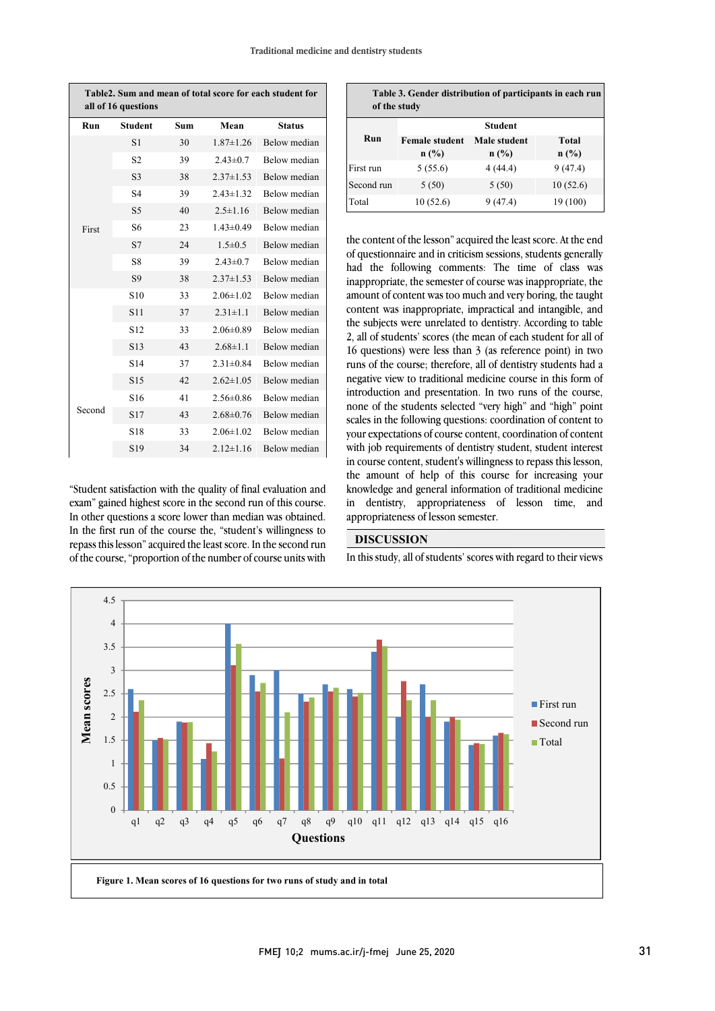| Table2. Sum and mean of total score for each student for<br>all of 16 questions |                 |     |                 |                     |  |  |  |
|---------------------------------------------------------------------------------|-----------------|-----|-----------------|---------------------|--|--|--|
| Run                                                                             | <b>Student</b>  | Sum | Mean            | <b>Status</b>       |  |  |  |
|                                                                                 | S1              | 30  | $1.87 \pm 1.26$ | Below median        |  |  |  |
|                                                                                 | S <sub>2</sub>  | 39  | $2.43 \pm 0.7$  | <b>Below</b> median |  |  |  |
|                                                                                 | S <sub>3</sub>  | 38  | $2.37 \pm 1.53$ | Below median        |  |  |  |
|                                                                                 | S <sub>4</sub>  | 39  | $2.43 \pm 1.32$ | Below median        |  |  |  |
|                                                                                 | S <sub>5</sub>  | 40  | $2.5 \pm 1.16$  | Below median        |  |  |  |
| First                                                                           | S <sub>6</sub>  | 23  | $1.43 \pm 0.49$ | <b>Below</b> median |  |  |  |
|                                                                                 | S7              | 24  | $1.5 \pm 0.5$   | Below median        |  |  |  |
|                                                                                 | S8              | 39  | $2.43 \pm 0.7$  | Below median        |  |  |  |
|                                                                                 | S9              | 38  | $2.37 \pm 1.53$ | Below median        |  |  |  |
|                                                                                 | S <sub>10</sub> | 33  | $2.06 \pm 1.02$ | Below median        |  |  |  |
|                                                                                 | S <sub>11</sub> | 37  | $2.31 \pm 1.1$  | Below median        |  |  |  |
|                                                                                 | S <sub>12</sub> | 33  | $2.06\pm0.89$   | <b>Below</b> median |  |  |  |
|                                                                                 | S13             | 43  | $2.68 \pm 1.1$  | Below median        |  |  |  |
|                                                                                 | S <sub>14</sub> | 37  | $2.31 \pm 0.84$ | <b>Below</b> median |  |  |  |
|                                                                                 | S <sub>15</sub> | 42  | $2.62 \pm 1.05$ | Below median        |  |  |  |
|                                                                                 | S <sub>16</sub> | 41  | $2.56 \pm 0.86$ | <b>Below</b> median |  |  |  |
| Second                                                                          | S17             | 43  | $2.68 \pm 0.76$ | <b>Below</b> median |  |  |  |
|                                                                                 | S18             | 33  | $2.06 \pm 1.02$ | Below median        |  |  |  |
|                                                                                 | S <sub>19</sub> | 34  | $2.12 \pm 1.16$ | Below median        |  |  |  |

"Student satisfaction with the quality of final evaluation and exam" gained highest score in the second run of this course. In other questions a score lower than median was obtained. In the first run of the course the, "student's willingness to repass this lesson"acquired the least score. In the second run of the course, "proportion of the number of course units with

| Table 3. Gender distribution of participants in each run<br>of the study |                               |                         |                  |  |  |  |  |  |
|--------------------------------------------------------------------------|-------------------------------|-------------------------|------------------|--|--|--|--|--|
|                                                                          | <b>Student</b>                |                         |                  |  |  |  |  |  |
| Run                                                                      | <b>Female student</b><br>n(%) | Male student<br>$n$ (%) | Total<br>$n$ (%) |  |  |  |  |  |
| First run                                                                | 5(55.6)                       | 4(44.4)                 | 9(47.4)          |  |  |  |  |  |
| Second run                                                               | 5(50)                         | 5(50)                   | 10(52.6)         |  |  |  |  |  |
| Total                                                                    | 10(52.6)                      | 9(47.4)                 | 19 (100)         |  |  |  |  |  |

 the content of the lesson"acquired the least score. At the end of questionnaire and in criticism sessions, students generally had the following comments: The time of class was inappropriate, the semester of course was inappropriate, the amount of content was too much and very boring, the taught the subjects were unrelated to dentistry. According to table 2, all of students' scores (the mean of each student for all of 16 questions) were less than 3 (as reference point) in two negative view to traditional medicine course in this form of introduction and presentation. In two runs of the course, none of the students selected "very high" and "high" point scales in the following questions: coordination of content to your expectations of course content, coordination of content in course content, student's willingness to repass this lesson, the amount of help of this course for increasing your knowledge and general information of traditional medicine in dentistry, appropriateness of lesson time, and  $\overline{a}$ content was inappropriate, impractical and intangible, and runs of the course; therefore, all of dentistry students had a with job requirements of dentistry student, student interest appropriateness of lesson semester.

# **DISCUSSION**

In this study, all of students' scores with regard to their views

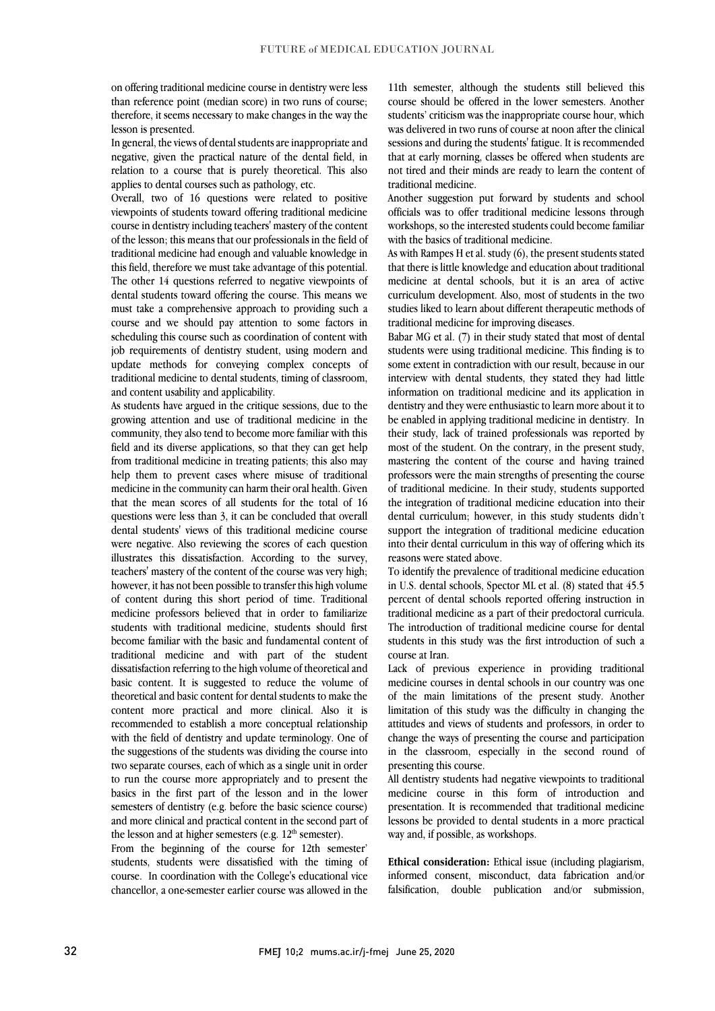on offering traditional medicine course in dentistry were less than reference point (median score) in two runs of course; therefore, it seems necessary to make changes in the way the lesson is presented.

In general, the views of dental students are inappropriate and negative, given the practical nature of the dental field, in relation to a course that is purely theoretical. This also applies to dental courses such as pathology, etc.

Overall, two of 16 questions were related to positive viewpoints of students toward offering traditional medicine course in dentistry including teachers' mastery of the content of the lesson; this means that our professionals in the field of traditional medicine had enough and valuable knowledge in this field, therefore we must take advantage of this potential. The other 14 questions referred to negative viewpoints of dental students toward offering the course. This means we must take a comprehensive approach to providing such a course and we should pay attention to some factors in scheduling this course such as coordination of content with job requirements of dentistry student, using modern and update methods for conveying complex concepts of traditional medicine to dental students, timing of classroom, and content usability and applicability.

As students have argued in the critique sessions, due to the growing attention and use of traditional medicine in the community, they also tend to become more familiar with this field and its diverse applications, so that they can get help from traditional medicine in treating patients; this also may help them to prevent cases where misuse of traditional medicine in the community can harm their oral health. Given that the mean scores of all students for the total of 16 questions were less than 3, it can be concluded that overall dental students' views of this traditional medicine course were negative. Also reviewing the scores of each question illustrates this dissatisfaction. According to the survey, teachers' mastery of the content of the course was very high; however, it has not been possible to transfer this high volume of content during this short period of time. Traditional medicine professors believed that in order to familiarize students with traditional medicine, students should first become familiar with the basic and fundamental content of traditional medicine and with part of the student dissatisfaction referring to the high volume of theoretical and basic content. It is suggested to reduce the volume of theoretical and basic content for dental students to make the content more practical and more clinical. Also it is recommended to establish a more conceptual relationship with the field of dentistry and update terminology. One of the suggestions of the students was dividing the course into two separate courses, each of which as a single unit in order to run the course more appropriately and to present the basics in the first part of the lesson and in the lower semesters of dentistry (e.g. before the basic science course) and more clinical and practical content in the second part of the lesson and at higher semesters (e.g.  $12<sup>th</sup>$  semester).

From the beginning of the course for 12th semester' students, students were dissatisfied with the timing of course. In coordination with the College's educational vice chancellor, a one-semester earlier course was allowed in the 11th semester, although the students still believed this course should be offered in the lower semesters. Another students' criticism was the inappropriate course hour, which was delivered in two runs of course at noon after the clinical sessions and during the students' fatigue. It is recommended that at early morning, classes be offered when students are not tired and their minds are ready to learn the content of traditional medicine.

Another suggestion put forward by students and school officials was to offer traditional medicine lessons through workshops, so the interested students could become familiar with the basics of traditional medicine.

As with Rampes H et al. study (6), the present students stated that there is little knowledge and education about traditional medicine at dental schools, but it is an area of active curriculum development. Also, most of students in the two studies liked to learn about different therapeutic methods of traditional medicine for improving diseases.

Babar MG et al. (7) in their study stated that most of dental students were using traditional medicine. This finding is to some extent in contradiction with our result, because in our interview with dental students, they stated they had little information on traditional medicine and its application in dentistry and they were enthusiastic to learn more about it to be enabled in applying traditional medicine in dentistry. In their study, lack of trained professionals was reported by most of the student. On the contrary, in the present study, mastering the content of the course and having trained professors were the main strengths of presenting the course of traditional medicine. In their study, students supported the integration of traditional medicine education into their dental curriculum; however, in this study students didn't support the integration of traditional medicine education into their dental curriculum in this way of offering which its reasons were stated above.

To identify the prevalence of traditional medicine education in U.S. dental schools, Spector ML et al. (8) stated that 45.5 percent of dental schools reported offering instruction in traditional medicine as a part of their predoctoral curricula. The introduction of traditional medicine course for dental students in this study was the first introduction of such a course at Iran.

Lack of previous experience in providing traditional medicine courses in dental schools in our country was one of the main limitations of the present study. Another limitation of this study was the difficulty in changing the attitudes and views of students and professors, in order to change the ways of presenting the course and participation in the classroom, especially in the second round of presenting this course.

All dentistry students had negative viewpoints to traditional medicine course in this form of introduction and presentation. It is recommended that traditional medicine lessons be provided to dental students in a more practical way and, if possible, as workshops.

**Ethical consideration:** Ethical issue (including plagiarism, informed consent, misconduct, data fabrication and/or falsification, double publication and/or submission,